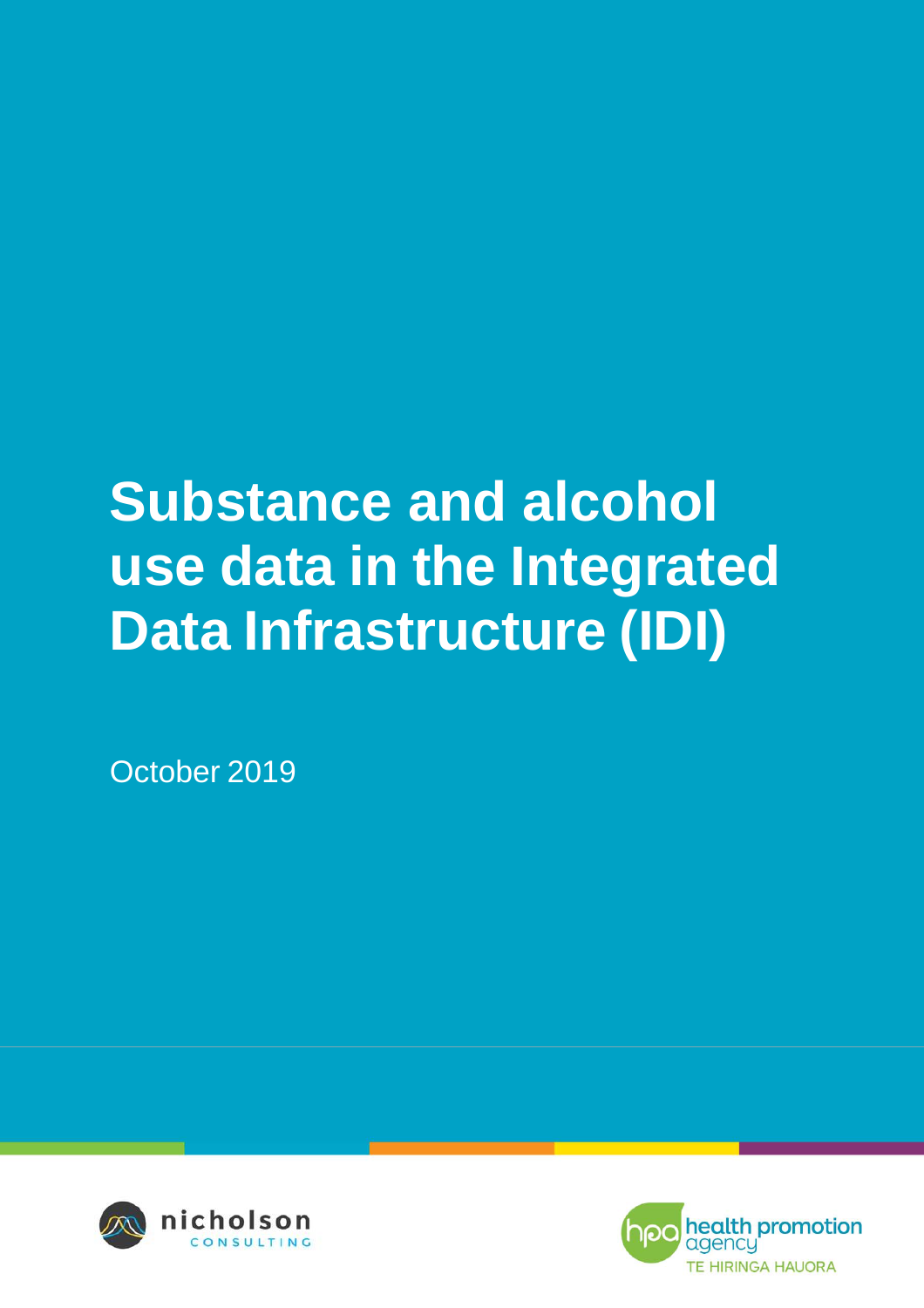# **Substance and alcohol use data in the Integrated Data Infrastructure (IDI)**

October 2019



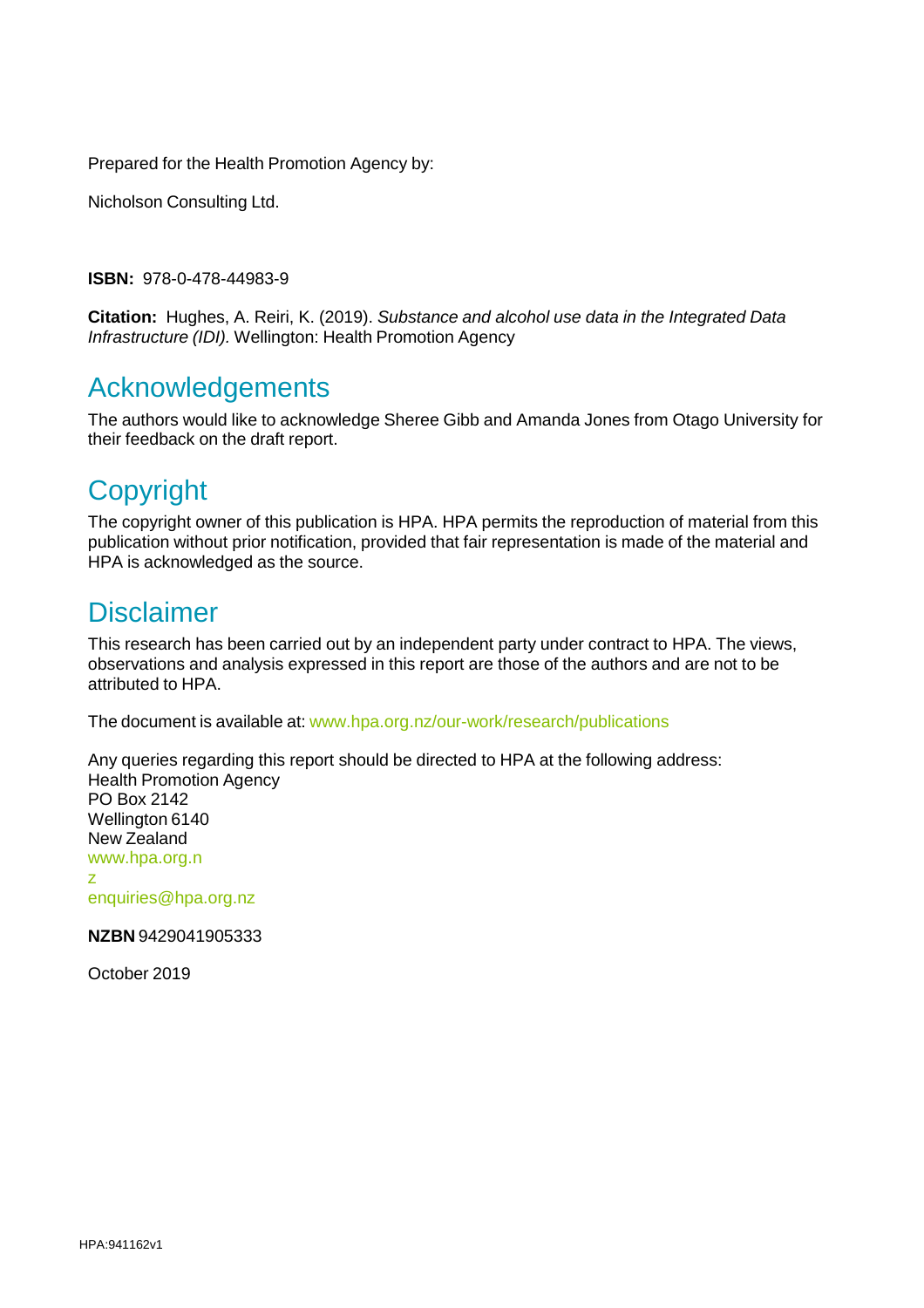Prepared for the Health Promotion Agency by:

Nicholson Consulting Ltd.

**ISBN:** 978-0-478-44983-9

**Citation:** Hughes, A. Reiri, K. (2019). *Substance and alcohol use data in the Integrated Data Infrastructure (IDI).* Wellington: Health Promotion Agency

# Acknowledgements

The authors would like to acknowledge Sheree Gibb and Amanda Jones from Otago University for their feedback on the draft report.

# **Copyright**

The copyright owner of this publication is HPA. HPA permits the reproduction of material from this publication without prior notification, provided that fair representation is made of the material and HPA is acknowledged as the source.

# **Disclaimer**

This research has been carried out by an independent party under contract to HPA. The views, observations and analysis expressed in this report are those of the authors and are not to be attributed to HPA.

The document is available at: [www.hpa.org.nz/our-work/research/publications](http://www.hpa.org.nz/our-work/research/publications)

Any queries regarding this report should be directed to HPA at the following address: Health Promotion Agency PO Box 2142 Wellington 6140 New Zealand www.hpa.org.n z

[enquiries@hpa.org.nz](mailto:enquiries@hpa.org.nz)

**NZBN** 9429041905333

October 2019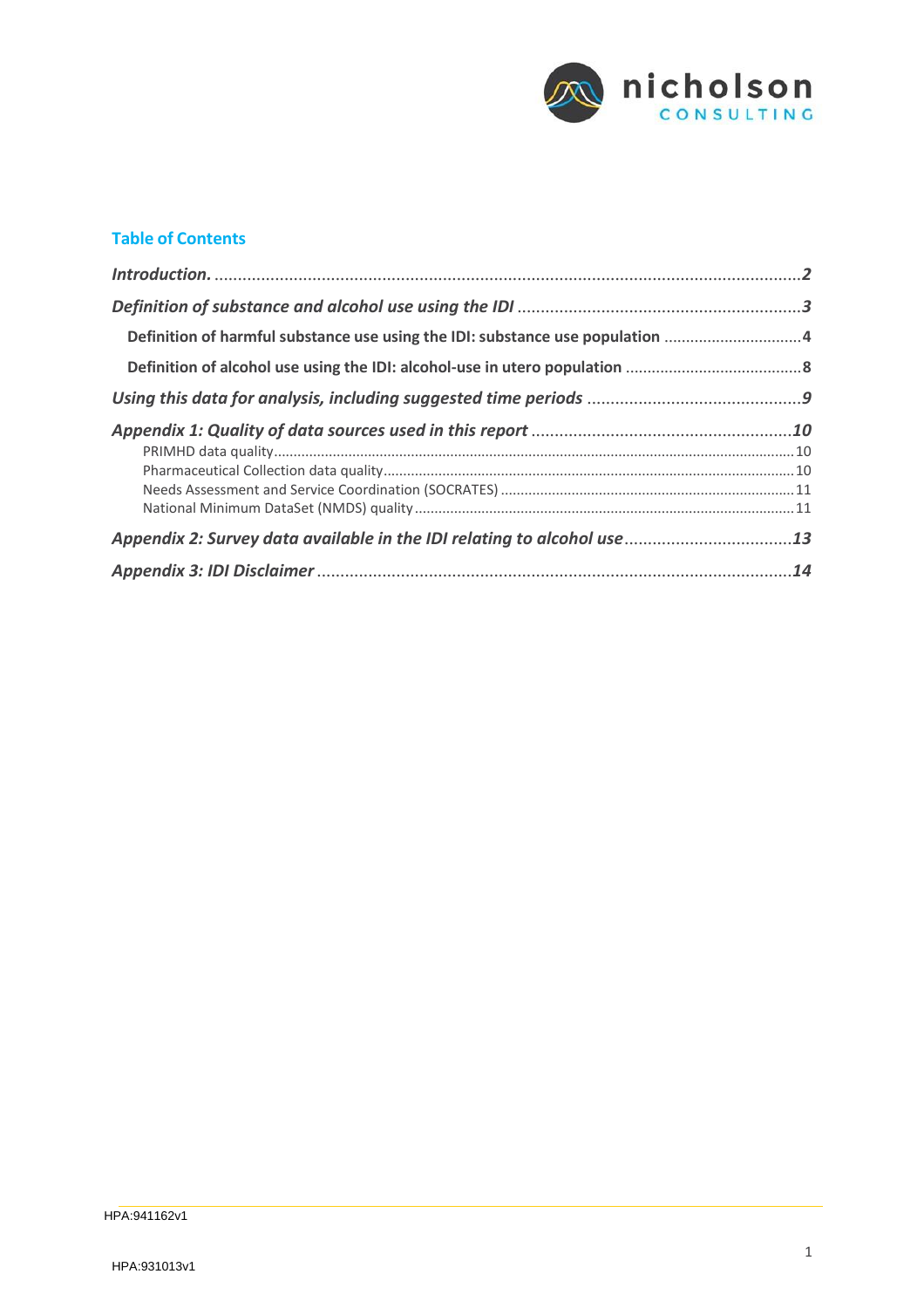

#### **Table of Contents**

| Definition of harmful substance use using the IDI: substance use population 4 |  |
|-------------------------------------------------------------------------------|--|
|                                                                               |  |
|                                                                               |  |
|                                                                               |  |
|                                                                               |  |
|                                                                               |  |
|                                                                               |  |
|                                                                               |  |
|                                                                               |  |
|                                                                               |  |
|                                                                               |  |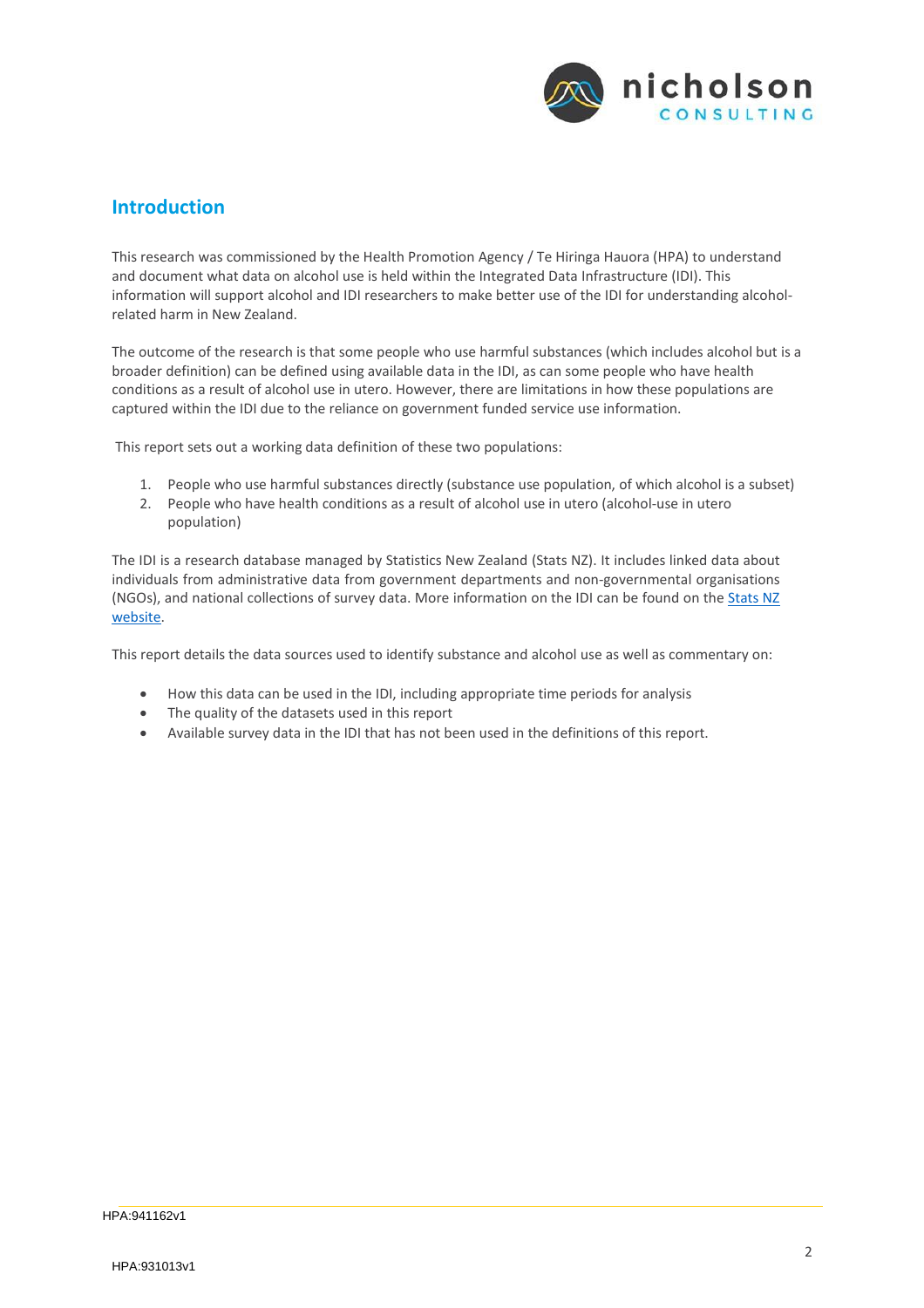

## <span id="page-3-0"></span>**Introduction**

This research was commissioned by the Health Promotion Agency / Te Hiringa Hauora (HPA) to understand and document what data on alcohol use is held within the Integrated Data Infrastructure (IDI). This information will support alcohol and IDI researchers to make better use of the IDI for understanding alcoholrelated harm in New Zealand.

The outcome of the research is that some people who use harmful substances (which includes alcohol but is a broader definition) can be defined using available data in the IDI, as can some people who have health conditions as a result of alcohol use in utero. However, there are limitations in how these populations are captured within the IDI due to the reliance on government funded service use information.

This report sets out a working data definition of these two populations:

- 1. People who use harmful substances directly (substance use population, of which alcohol is a subset)
- 2. People who have health conditions as a result of alcohol use in utero (alcohol-use in utero population)

The IDI is a research database managed by Statistics New Zealand (Stats NZ). It includes linked data about individuals from administrative data from government departments and non‐governmental organisations (NGOs), and national collections of survey data. More information on the IDI can be found on the Stats NZ website.

This report details the data sources used to identify substance and alcohol use as well as commentary on:

- How this data can be used in the IDI, including appropriate time periods for analysis
- The quality of the datasets used in this report
- Available survey data in the IDI that has not been used in the definitions of this report.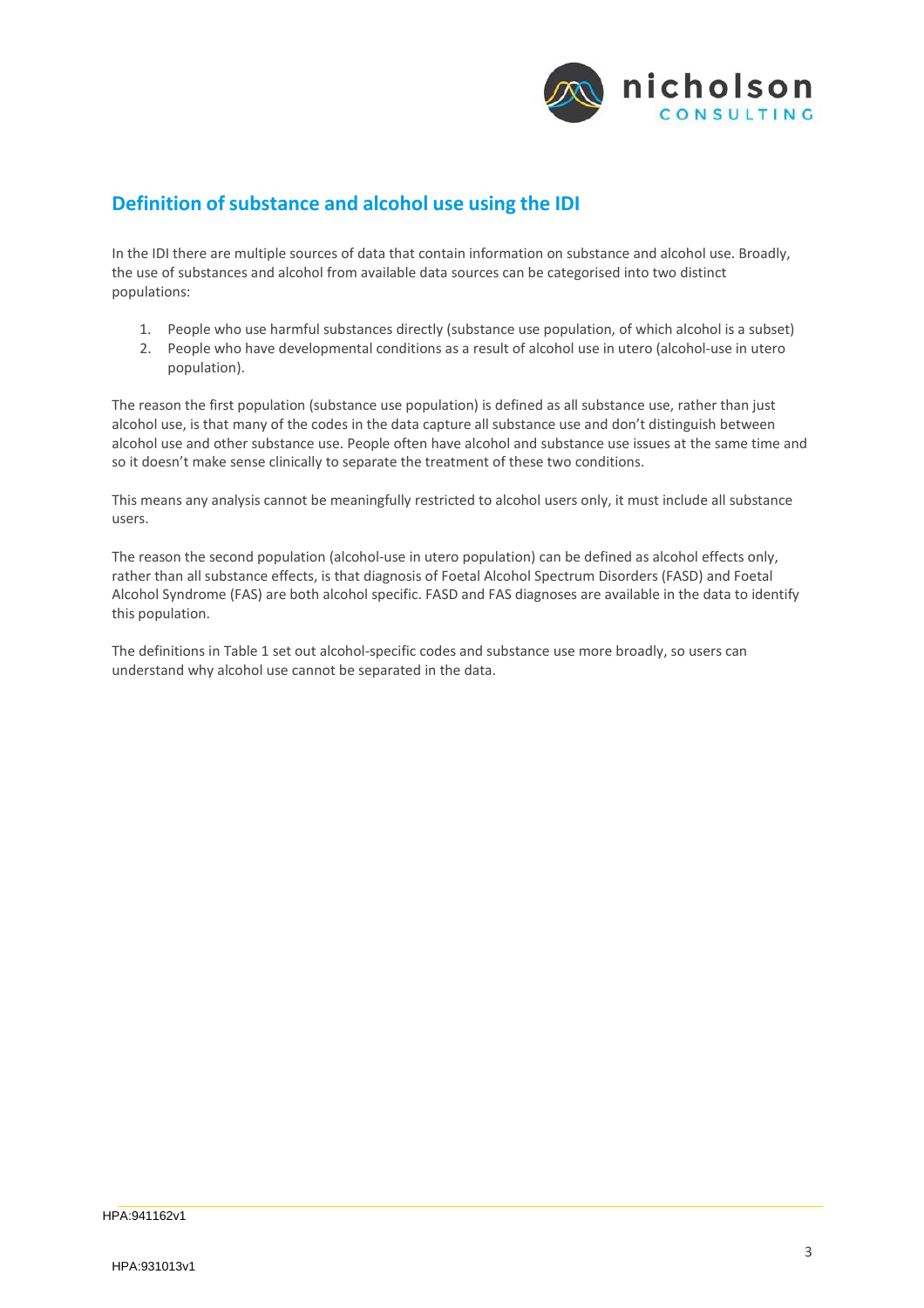

# <span id="page-4-0"></span>**Definition ofsubstance and alcohol use using the IDI**

In the IDI there are multiple sources of data that contain information on substance and alcohol use. Broadly, the use of substances and alcohol from available data sources can be categorised into two distinct populations:

- 1. People who use harmful substances directly (substance use population, of which alcohol is a subset)
- 2. People who have developmental conditions as a result of alcohol use in utero (alcohol-use in utero population).

The reason the first population (substance use population) is defined as all substance use, rather than just alcohol use, is that many of the codes in the data capture all substance use and don't distinguish between alcohol use and other substance use. People often have alcohol and substance use issues at the same time and so it doesn't make sense clinically to separate the treatment of these two conditions.

This means any analysis cannot be meaningfully restricted to alcohol users only, it must include all substance users.

The reason the second population (alcohol-use in utero population) can be defined as alcohol effects only, rather than all substance effects, is that diagnosis of Foetal Alcohol Spectrum Disorders (FASD) and Foetal Alcohol Syndrome (FAS) are both alcohol specific. FASD and FAS diagnoses are available in the data to identify this population.

The definitions in Table 1 set out alcohol-specific codes and substance use more broadly, so users can understand why alcohol use cannot be separated in the data.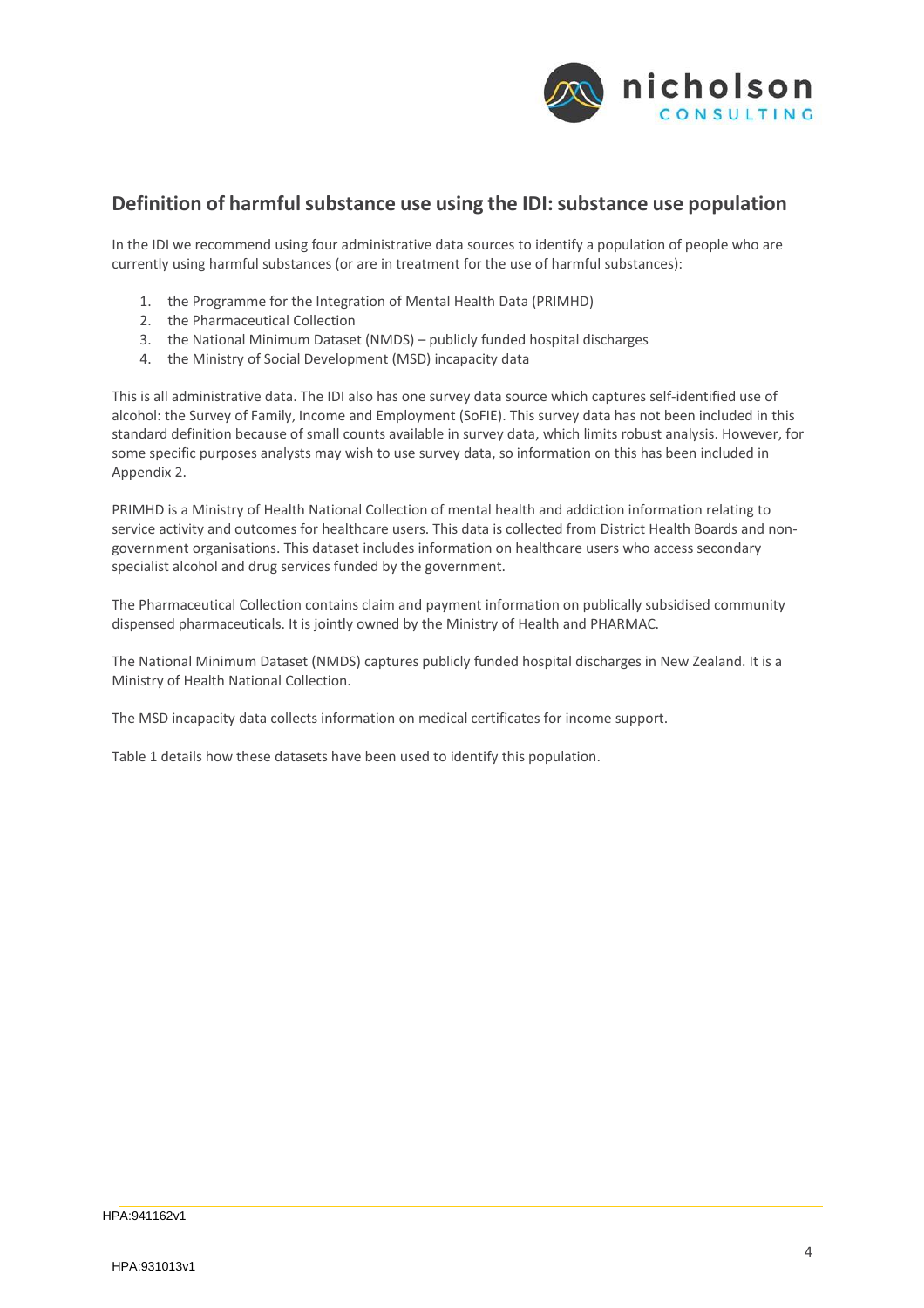

## <span id="page-5-0"></span>**Definition of harmfulsubstance use using the IDI:substance use population**

In the IDI we recommend using four administrative data sources to identify a population of people who are currently using harmful substances (or are in treatment for the use of harmful substances):

- 1. the Programme for the Integration of Mental Health Data (PRIMHD)
- 2. the Pharmaceutical Collection
- 3. the National Minimum Dataset (NMDS) publicly funded hospital discharges
- 4. the Ministry of Social Development (MSD) incapacity data

This is all administrative data. The IDI also has one survey data source which captures self‐identified use of alcohol: the Survey of Family, Income and Employment (SoFIE). This survey data has not been included in this standard definition because of small counts available in survey data, which limits robust analysis. However, for some specific purposes analysts may wish to use survey data, so information on this has been included in Appendix 2.

PRIMHD is a Ministry of Health National Collection of mental health and addiction information relating to service activity and outcomes for healthcare users. This data is collected from District Health Boards and nongovernment organisations. This dataset includes information on healthcare users who access secondary specialist alcohol and drug services funded by the government.

The Pharmaceutical Collection contains claim and payment information on publically subsidised community dispensed pharmaceuticals. It is jointly owned by the Ministry of Health and PHARMAC.

The National Minimum Dataset (NMDS) captures publicly funded hospital discharges in New Zealand. It is a Ministry of Health National Collection.

The MSD incapacity data collects information on medical certificates for income support.

Table 1 details how these datasets have been used to identify this population.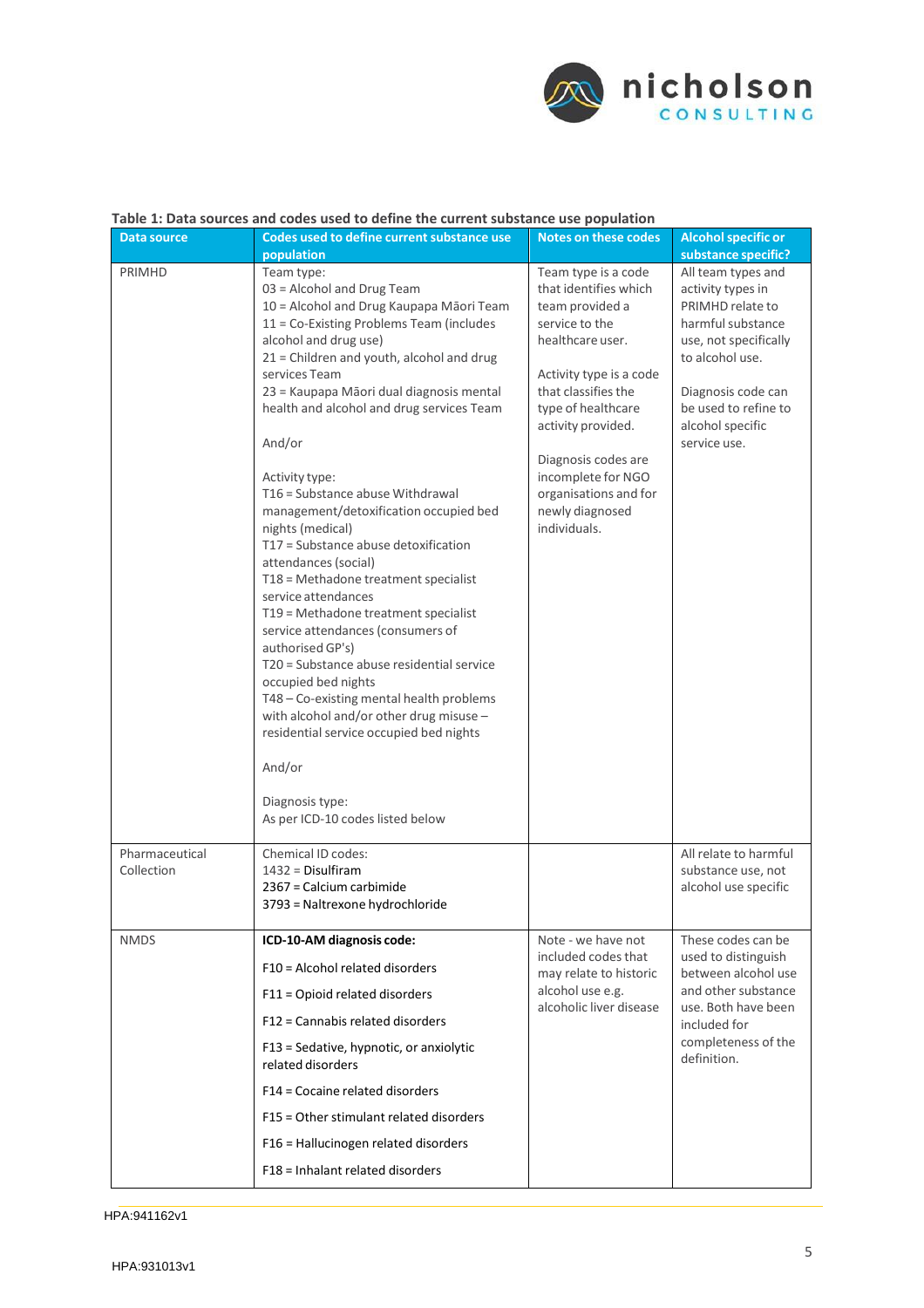

| Table 1: Data sources and codes used to define the current substance use population |                                                                                                                                                                                                                                                                                                                                                                                                                                                                                                                                                                                                                                                                                                                                                                                                                                                                                                                                                                                           |                                                                                                                                                                                                                                                                                                              |                                                                                                                                                                                                                                                                |
|-------------------------------------------------------------------------------------|-------------------------------------------------------------------------------------------------------------------------------------------------------------------------------------------------------------------------------------------------------------------------------------------------------------------------------------------------------------------------------------------------------------------------------------------------------------------------------------------------------------------------------------------------------------------------------------------------------------------------------------------------------------------------------------------------------------------------------------------------------------------------------------------------------------------------------------------------------------------------------------------------------------------------------------------------------------------------------------------|--------------------------------------------------------------------------------------------------------------------------------------------------------------------------------------------------------------------------------------------------------------------------------------------------------------|----------------------------------------------------------------------------------------------------------------------------------------------------------------------------------------------------------------------------------------------------------------|
| <b>Data source</b>                                                                  | Codes used to define current substance use                                                                                                                                                                                                                                                                                                                                                                                                                                                                                                                                                                                                                                                                                                                                                                                                                                                                                                                                                | <b>Notes on these codes</b>                                                                                                                                                                                                                                                                                  | <b>Alcohol specific or</b>                                                                                                                                                                                                                                     |
| <b>PRIMHD</b><br>Pharmaceutical                                                     | population<br>Team type:<br>03 = Alcohol and Drug Team<br>10 = Alcohol and Drug Kaupapa Māori Team<br>11 = Co-Existing Problems Team (includes<br>alcohol and drug use)<br>21 = Children and youth, alcohol and drug<br>services Team<br>23 = Kaupapa Māori dual diagnosis mental<br>health and alcohol and drug services Team<br>And/or<br>Activity type:<br>T16 = Substance abuse Withdrawal<br>management/detoxification occupied bed<br>nights (medical)<br>T17 = Substance abuse detoxification<br>attendances (social)<br>T18 = Methadone treatment specialist<br>service attendances<br>T19 = Methadone treatment specialist<br>service attendances (consumers of<br>authorised GP's)<br>T20 = Substance abuse residential service<br>occupied bed nights<br>T48 - Co-existing mental health problems<br>with alcohol and/or other drug misuse -<br>residential service occupied bed nights<br>And/or<br>Diagnosis type:<br>As per ICD-10 codes listed below<br>Chemical ID codes: | Team type is a code<br>that identifies which<br>team provided a<br>service to the<br>healthcare user.<br>Activity type is a code<br>that classifies the<br>type of healthcare<br>activity provided.<br>Diagnosis codes are<br>incomplete for NGO<br>organisations and for<br>newly diagnosed<br>individuals. | substance specific?<br>All team types and<br>activity types in<br>PRIMHD relate to<br>harmful substance<br>use, not specifically<br>to alcohol use.<br>Diagnosis code can<br>be used to refine to<br>alcohol specific<br>service use.<br>All relate to harmful |
| Collection                                                                          | $1432 =$ Disulfiram<br>2367 = Calcium carbimide<br>3793 = Naltrexone hydrochloride                                                                                                                                                                                                                                                                                                                                                                                                                                                                                                                                                                                                                                                                                                                                                                                                                                                                                                        |                                                                                                                                                                                                                                                                                                              | substance use, not<br>alcohol use specific                                                                                                                                                                                                                     |
| <b>NMDS</b>                                                                         | ICD-10-AM diagnosis code:                                                                                                                                                                                                                                                                                                                                                                                                                                                                                                                                                                                                                                                                                                                                                                                                                                                                                                                                                                 | Note - we have not                                                                                                                                                                                                                                                                                           | These codes can be                                                                                                                                                                                                                                             |
|                                                                                     | F10 = Alcohol related disorders                                                                                                                                                                                                                                                                                                                                                                                                                                                                                                                                                                                                                                                                                                                                                                                                                                                                                                                                                           | included codes that<br>may relate to historic                                                                                                                                                                                                                                                                | used to distinguish<br>between alcohol use<br>and other substance<br>use. Both have been<br>included for<br>completeness of the<br>definition.                                                                                                                 |
|                                                                                     | F11 = Opioid related disorders                                                                                                                                                                                                                                                                                                                                                                                                                                                                                                                                                                                                                                                                                                                                                                                                                                                                                                                                                            | alcohol use e.g.<br>alcoholic liver disease                                                                                                                                                                                                                                                                  |                                                                                                                                                                                                                                                                |
|                                                                                     | F12 = Cannabis related disorders                                                                                                                                                                                                                                                                                                                                                                                                                                                                                                                                                                                                                                                                                                                                                                                                                                                                                                                                                          |                                                                                                                                                                                                                                                                                                              |                                                                                                                                                                                                                                                                |
|                                                                                     | F13 = Sedative, hypnotic, or anxiolytic<br>related disorders                                                                                                                                                                                                                                                                                                                                                                                                                                                                                                                                                                                                                                                                                                                                                                                                                                                                                                                              |                                                                                                                                                                                                                                                                                                              |                                                                                                                                                                                                                                                                |
|                                                                                     | F14 = Cocaine related disorders                                                                                                                                                                                                                                                                                                                                                                                                                                                                                                                                                                                                                                                                                                                                                                                                                                                                                                                                                           |                                                                                                                                                                                                                                                                                                              |                                                                                                                                                                                                                                                                |
|                                                                                     | F15 = Other stimulant related disorders                                                                                                                                                                                                                                                                                                                                                                                                                                                                                                                                                                                                                                                                                                                                                                                                                                                                                                                                                   |                                                                                                                                                                                                                                                                                                              |                                                                                                                                                                                                                                                                |
|                                                                                     | F16 = Hallucinogen related disorders                                                                                                                                                                                                                                                                                                                                                                                                                                                                                                                                                                                                                                                                                                                                                                                                                                                                                                                                                      |                                                                                                                                                                                                                                                                                                              |                                                                                                                                                                                                                                                                |
|                                                                                     | F18 = Inhalant related disorders                                                                                                                                                                                                                                                                                                                                                                                                                                                                                                                                                                                                                                                                                                                                                                                                                                                                                                                                                          |                                                                                                                                                                                                                                                                                                              |                                                                                                                                                                                                                                                                |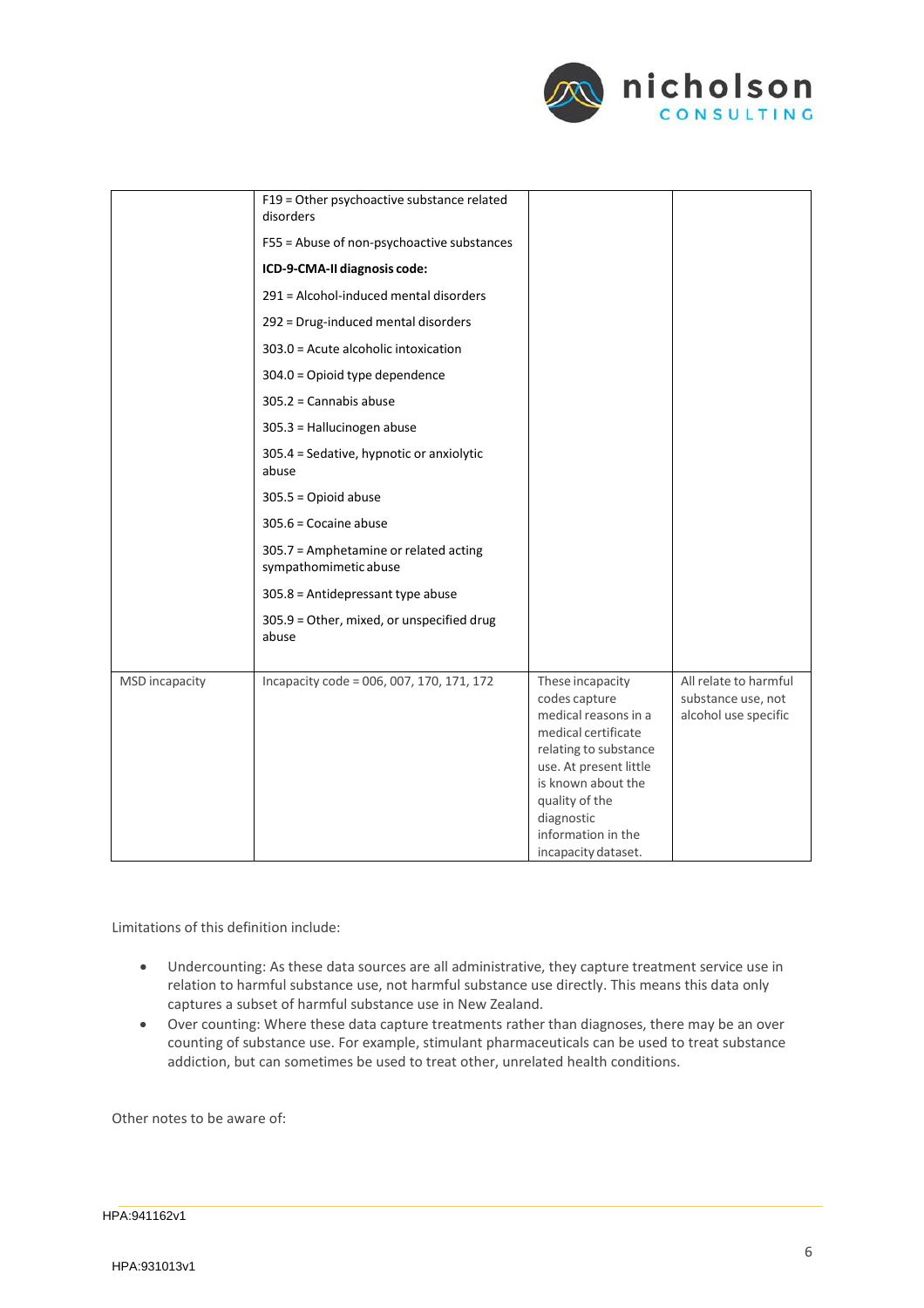

|                       | F19 = Other psychoactive substance related<br>disorders<br>F55 = Abuse of non-psychoactive substances<br>ICD-9-CMA-II diagnosis code:<br>291 = Alcohol-induced mental disorders<br>292 = Drug-induced mental disorders<br>303.0 = Acute alcoholic intoxication<br>304.0 = Opioid type dependence<br>$305.2 =$ Cannabis abuse<br>305.3 = Hallucinogen abuse<br>305.4 = Sedative, hypnotic or anxiolytic<br>abuse<br>$305.5 =$ Opioid abuse<br>$305.6$ = Cocaine abuse<br>305.7 = Amphetamine or related acting<br>sympathomimetic abuse |                                                                                                                                                                                                                                        |                                                                     |
|-----------------------|----------------------------------------------------------------------------------------------------------------------------------------------------------------------------------------------------------------------------------------------------------------------------------------------------------------------------------------------------------------------------------------------------------------------------------------------------------------------------------------------------------------------------------------|----------------------------------------------------------------------------------------------------------------------------------------------------------------------------------------------------------------------------------------|---------------------------------------------------------------------|
|                       | 305.8 = Antidepressant type abuse<br>305.9 = Other, mixed, or unspecified drug<br>abuse                                                                                                                                                                                                                                                                                                                                                                                                                                                |                                                                                                                                                                                                                                        |                                                                     |
| <b>MSD</b> incapacity | Incapacity code = 006, 007, 170, 171, 172                                                                                                                                                                                                                                                                                                                                                                                                                                                                                              | These incapacity<br>codes capture<br>medical reasons in a<br>medical certificate<br>relating to substance<br>use. At present little<br>is known about the<br>quality of the<br>diagnostic<br>information in the<br>incapacity dataset. | All relate to harmful<br>substance use, not<br>alcohol use specific |

Limitations of this definition include:

- Undercounting: As these data sources are all administrative, they capture treatment service use in relation to harmful substance use, not harmful substance use directly. This means this data only captures a subset of harmful substance use in New Zealand.
- Over counting: Where these data capture treatments rather than diagnoses, there may be an over counting of substance use. For example, stimulant pharmaceuticals can be used to treat substance addiction, but can sometimes be used to treat other, unrelated health conditions.

Other notes to be aware of: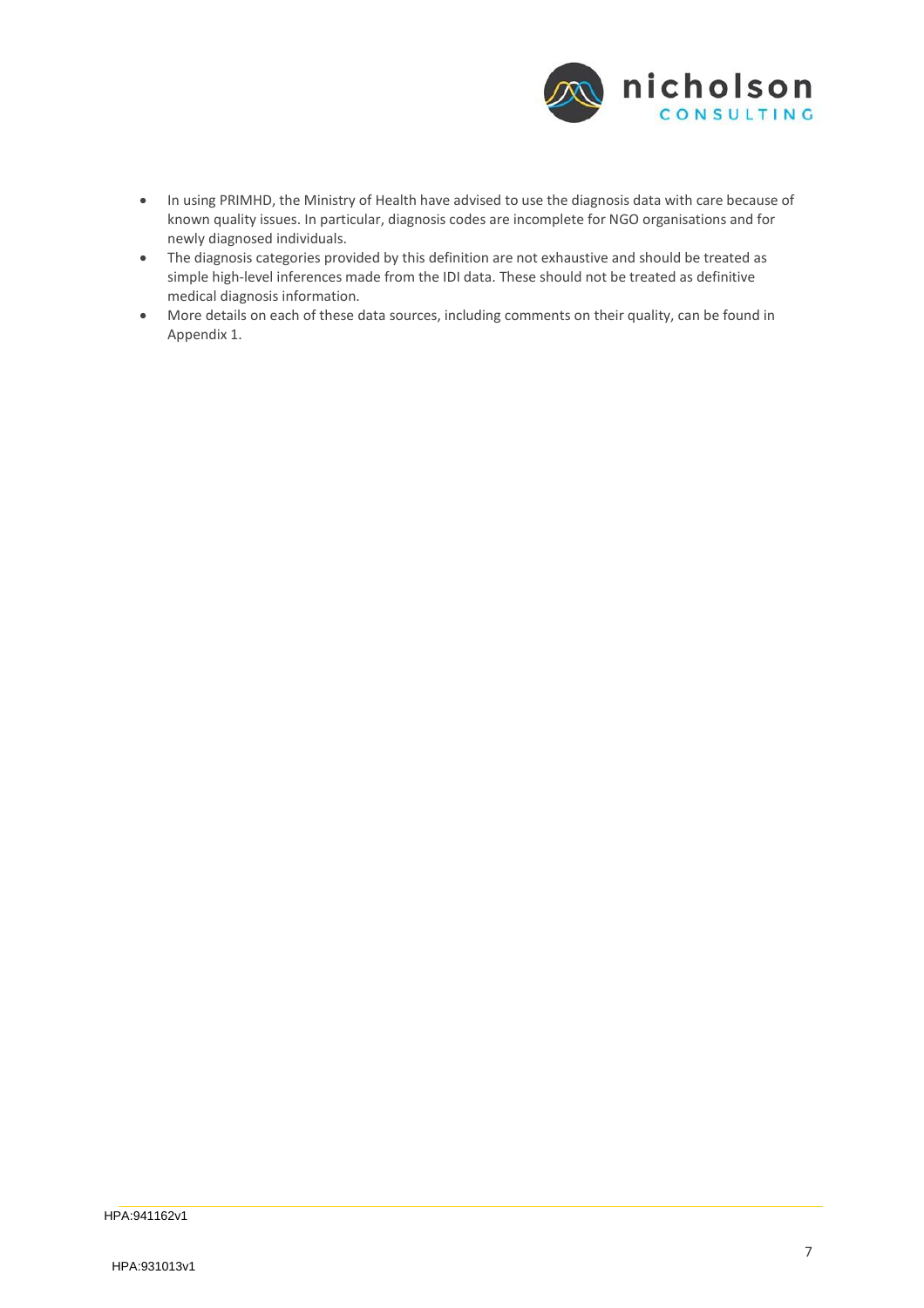

- In using PRIMHD, the Ministry of Health have advised to use the diagnosis data with care because of known quality issues. In particular, diagnosis codes are incomplete for NGO organisations and for newly diagnosed individuals.
- The diagnosis categories provided by this definition are not exhaustive and should be treated as simple high-level inferences made from the IDI data. These should not be treated as definitive medical diagnosis information.
- More details on each of these data sources, including comments on their quality, can be found in Appendix 1.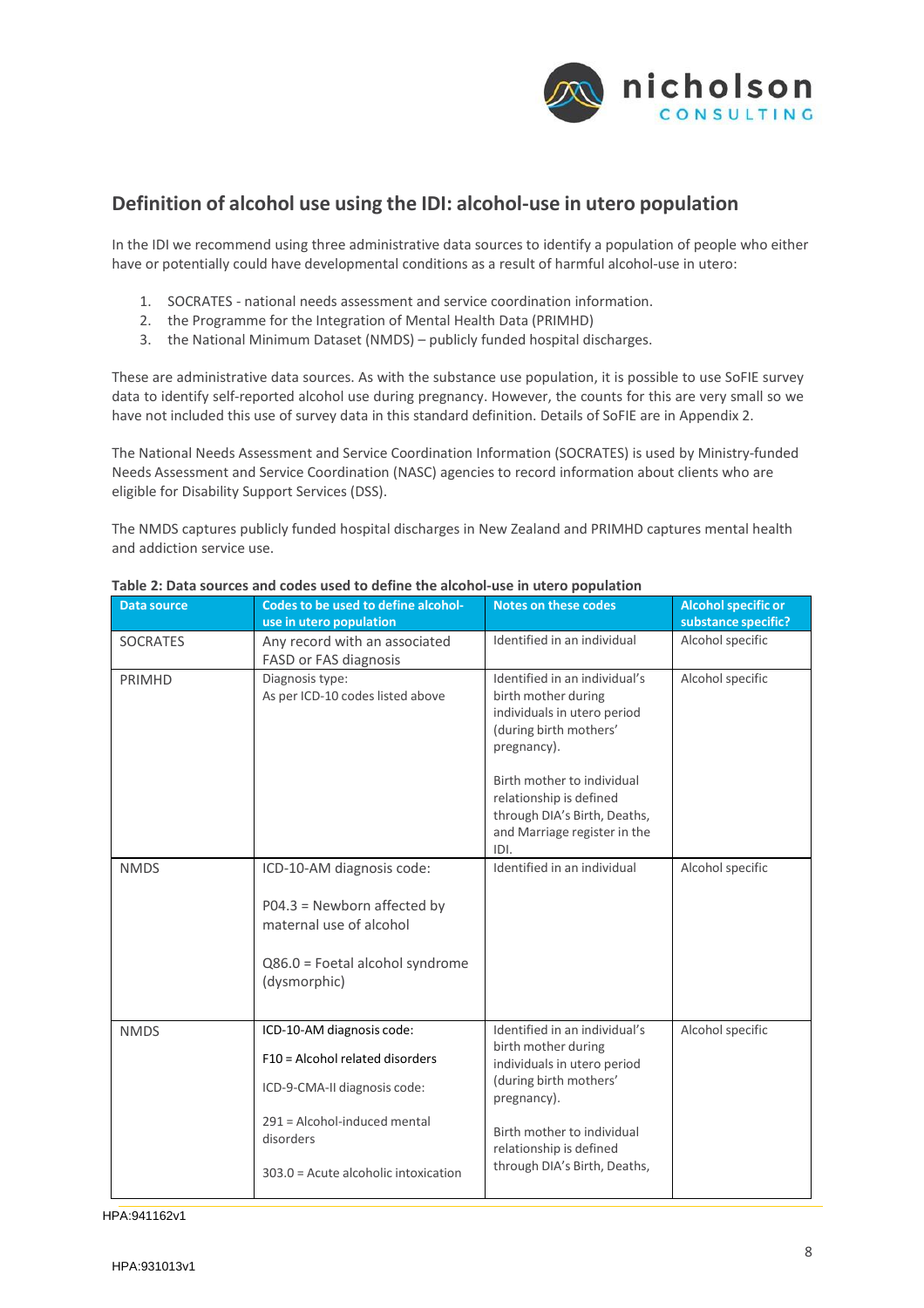

# <span id="page-9-0"></span>**Definition of alcohol use using the IDI: alcohol‐use in utero population**

In the IDI we recommend using three administrative data sources to identify a population of people who either have or potentially could have developmental conditions as a result of harmful alcohol-use in utero:

- 1. SOCRATES ‐ national needs assessment and service coordination information.
- 2. the Programme for the Integration of Mental Health Data (PRIMHD)
- 3. the National Minimum Dataset (NMDS) publicly funded hospital discharges.

These are administrative data sources. As with the substance use population, it is possible to use SoFIE survey data to identify self‐reported alcohol use during pregnancy. However, the counts for this are very small so we have not included this use of survey data in this standard definition. Details of SoFIE are in Appendix 2.

The National Needs Assessment and Service Coordination Information (SOCRATES) is used by Ministry‐funded Needs Assessment and Service Coordination (NASC) agencies to record information about clients who are eligible for Disability Support Services (DSS).

The NMDS captures publicly funded hospital discharges in New Zealand and PRIMHD captures mental health and addiction service use.

| Data source     | Codes to be used to define alcohol-<br>use in utero population | Notes on these codes                                                                                                          | Alcohol specific or<br>substance specific? |
|-----------------|----------------------------------------------------------------|-------------------------------------------------------------------------------------------------------------------------------|--------------------------------------------|
| <b>SOCRATES</b> | Any record with an associated<br>FASD or FAS diagnosis         | Identified in an individual                                                                                                   | Alcohol specific                           |
| <b>PRIMHD</b>   | Diagnosis type:<br>As per ICD-10 codes listed above            | Identified in an individual's<br>birth mother during<br>individuals in utero period<br>(during birth mothers'<br>pregnancy).  | Alcohol specific                           |
|                 |                                                                | Birth mother to individual<br>relationship is defined<br>through DIA's Birth, Deaths,<br>and Marriage register in the<br>IDI. |                                            |
| <b>NMDS</b>     | ICD-10-AM diagnosis code:                                      | Identified in an individual                                                                                                   | Alcohol specific                           |
|                 | $PO4.3 = Newton$ affected by<br>maternal use of alcohol        |                                                                                                                               |                                            |
|                 | Q86.0 = Foetal alcohol syndrome<br>(dysmorphic)                |                                                                                                                               |                                            |
| <b>NMDS</b>     | ICD-10-AM diagnosis code:                                      | Identified in an individual's<br>birth mother during<br>individuals in utero period<br>(during birth mothers'<br>pregnancy).  | Alcohol specific                           |
|                 | F10 = Alcohol related disorders                                |                                                                                                                               |                                            |
|                 | ICD-9-CMA-II diagnosis code:                                   |                                                                                                                               |                                            |
|                 | 291 = Alcohol-induced mental<br>disorders                      | Birth mother to individual<br>relationship is defined<br>through DIA's Birth, Deaths,                                         |                                            |
|                 | 303.0 = Acute alcoholic intoxication                           |                                                                                                                               |                                            |

#### **Table 2: Data sources and codes used to define the alcohol‐use in utero population**

HPA:941162v1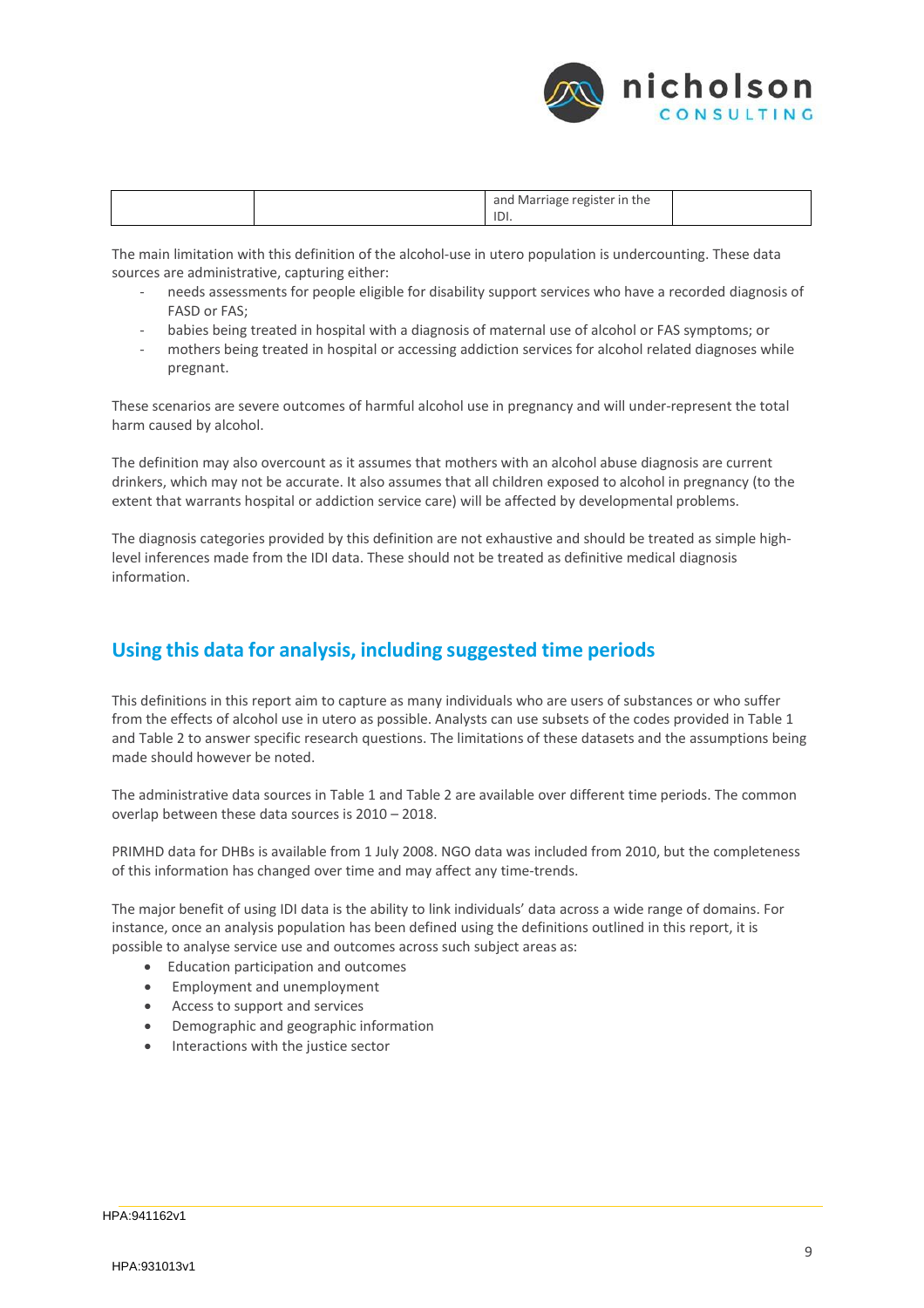

|  | l Marriage register in the<br>and |  |
|--|-----------------------------------|--|
|  | IDI.                              |  |

The main limitation with this definition of the alcohol-use in utero population is undercounting. These data sources are administrative, capturing either:

- ‐ needs assessments for people eligible for disability support services who have a recorded diagnosis of FASD or FAS;
- ‐ babies being treated in hospital with a diagnosis of maternal use of alcohol or FAS symptoms; or
- mothers being treated in hospital or accessing addiction services for alcohol related diagnoses while pregnant.

These scenarios are severe outcomes of harmful alcohol use in pregnancy and will under-represent the total harm caused by alcohol.

The definition may also overcount as it assumes that mothers with an alcohol abuse diagnosis are current drinkers, which may not be accurate. It also assumes that all children exposed to alcohol in pregnancy (to the extent that warrants hospital or addiction service care) will be affected by developmental problems.

The diagnosis categories provided by this definition are not exhaustive and should be treated as simple high‐ level inferences made from the IDI data. These should not be treated as definitive medical diagnosis information.

#### <span id="page-10-0"></span>**Using this data for analysis, including suggested time periods**

This definitions in this report aim to capture as many individuals who are users of substances or who suffer from the effects of alcohol use in utero as possible. Analysts can use subsets of the codes provided in Table 1 and Table 2 to answer specific research questions. The limitations of these datasets and the assumptions being made should however be noted.

The administrative data sources in Table 1 and Table 2 are available over different time periods. The common overlap between these data sources is 2010 – 2018.

PRIMHD data for DHBs is available from 1 July 2008. NGO data was included from 2010, but the completeness of this information has changed over time and may affect any time‐trends.

The major benefit of using IDI data is the ability to link individuals' data across a wide range of domains. For instance, once an analysis population has been defined using the definitions outlined in this report, it is possible to analyse service use and outcomes across such subject areas as:

- Education participation and outcomes
- Employment and unemployment
- Access to support and services
- Demographic and geographic information
- Interactions with the justice sector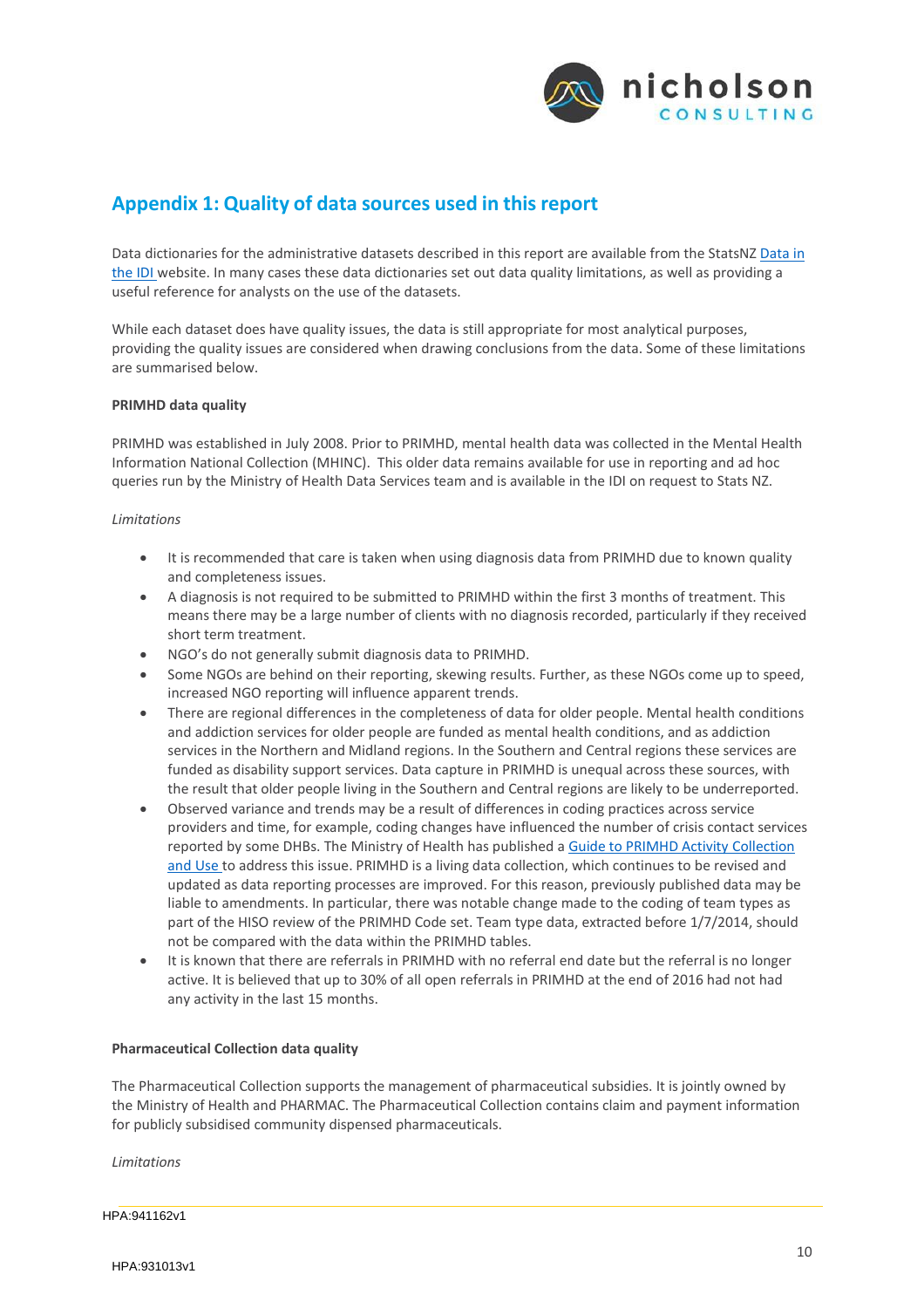

# <span id="page-11-0"></span>**Appendix 1: Quality of data sources used in thisreport**

Data dictionaries for the administrative datasets described in this report are available from the StatsNZ Data in the IDI website. In many cases these data dictionaries set out data quality limitations, as well as providing a useful reference for analysts on the use of the datasets.

While each dataset does have quality issues, the data is still appropriate for most analytical purposes, providing the quality issues are considered when drawing conclusions from the data. Some of these limitations are summarised below.

#### <span id="page-11-1"></span>**PRIMHD data quality**

PRIMHD was established in July 2008. Prior to PRIMHD, mental health data was collected in the Mental Health Information National Collection (MHINC). This older data remains available for use in reporting and ad hoc queries run by the Ministry of Health Data Services team and is available in the IDI on request to Stats NZ.

#### *Limitations*

- It is recommended that care is taken when using diagnosis data from PRIMHD due to known quality and completeness issues.
- A diagnosis is not required to be submitted to PRIMHD within the first 3 months of treatment. This means there may be a large number of clients with no diagnosis recorded, particularly if they received short term treatment.
- NGO's do not generally submit diagnosis data to PRIMHD.
- Some NGOs are behind on their reporting, skewing results. Further, as these NGOs come up to speed, increased NGO reporting will influence apparent trends.
- There are regional differences in the completeness of data for older people. Mental health conditions and addiction services for older people are funded as mental health conditions, and as addiction services in the Northern and Midland regions. In the Southern and Central regions these services are funded as disability support services. Data capture in PRIMHD is unequal across these sources, with the result that older people living in the Southern and Central regions are likely to be underreported.
- Observed variance and trends may be a result of differences in coding practices across service providers and time, for example, coding changes have influenced the number of crisis contact services reported by some DHBs. The Ministry of Health has published a Guide to PRIMHD Activity Collection and Use to address this issue. PRIMHD is a living data collection, which continues to be revised and updated as data reporting processes are improved. For this reason, previously published data may be liable to amendments. In particular, there was notable change made to the coding of team types as part of the HISO review of the PRIMHD Code set. Team type data, extracted before 1/7/2014, should not be compared with the data within the PRIMHD tables.
- It is known that there are referrals in PRIMHD with no referral end date but the referral is no longer active. It is believed that up to 30% of all open referrals in PRIMHD at the end of 2016 had not had any activity in the last 15 months.

#### <span id="page-11-2"></span>**Pharmaceutical Collection data quality**

The Pharmaceutical Collection supports the management of pharmaceutical subsidies. It is jointly owned by the Ministry of Health and PHARMAC. The Pharmaceutical Collection contains claim and payment information for publicly subsidised community dispensed pharmaceuticals.

*Limitations*

HPA:941162v1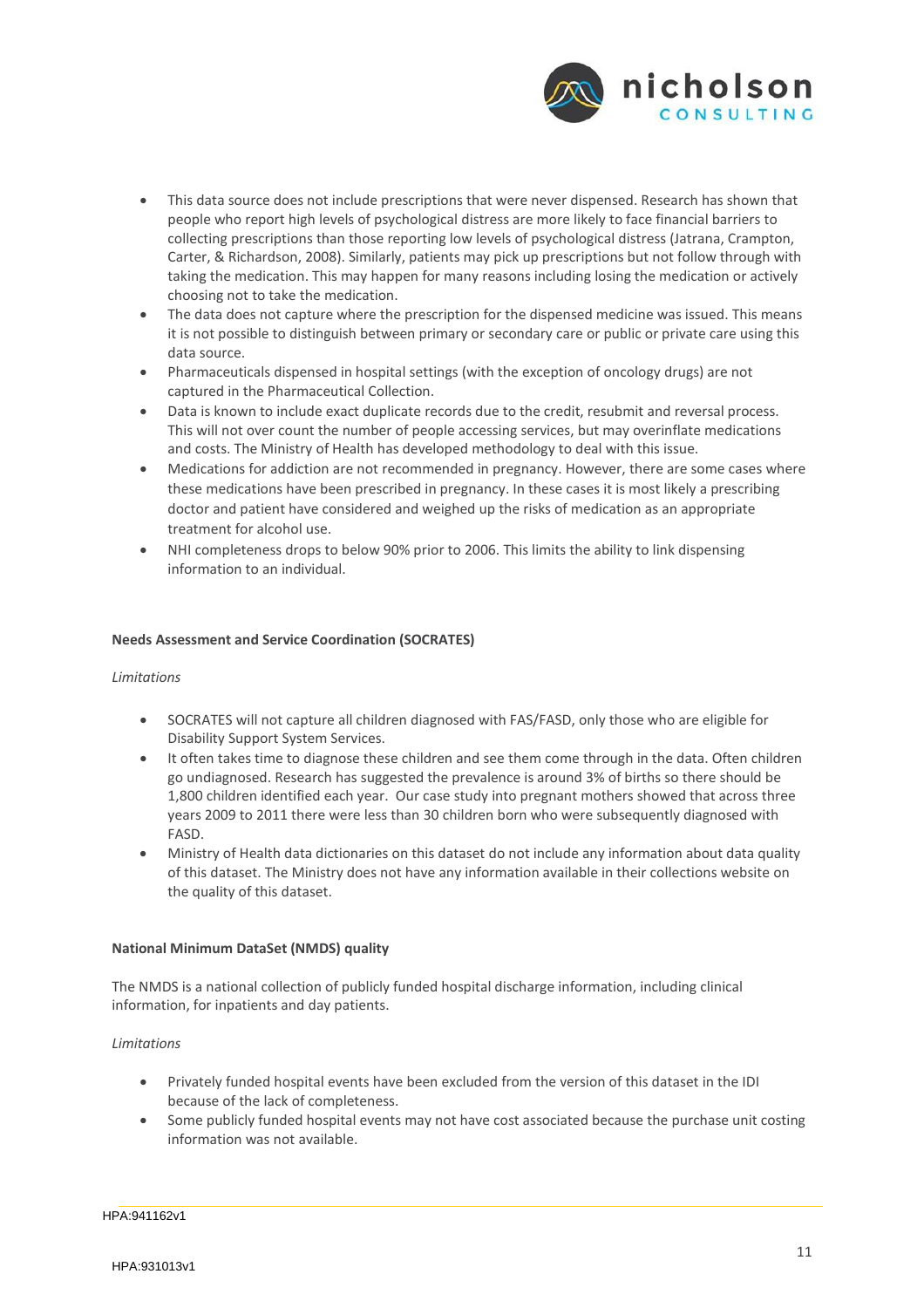

- This data source does not include prescriptions that were never dispensed. Research has shown that people who report high levels of psychological distress are more likely to face financial barriers to collecting prescriptions than those reporting low levels of psychological distress (Jatrana, Crampton, Carter, & Richardson, 2008). Similarly, patients may pick up prescriptions but not follow through with taking the medication. This may happen for many reasons including losing the medication or actively choosing not to take the medication.
- The data does not capture where the prescription for the dispensed medicine was issued. This means it is not possible to distinguish between primary or secondary care or public or private care using this data source.
- Pharmaceuticals dispensed in hospital settings (with the exception of oncology drugs) are not captured in the Pharmaceutical Collection.
- Data is known to include exact duplicate records due to the credit, resubmit and reversal process. This will not over count the number of people accessing services, but may overinflate medications and costs. The Ministry of Health has developed methodology to deal with this issue.
- Medications for addiction are not recommended in pregnancy. However, there are some cases where these medications have been prescribed in pregnancy. In these cases it is most likely a prescribing doctor and patient have considered and weighed up the risks of medication as an appropriate treatment for alcohol use.
- NHI completeness drops to below 90% prior to 2006. This limits the ability to link dispensing information to an individual.

#### <span id="page-12-0"></span>**Needs Assessment and Service Coordination (SOCRATES)**

#### *Limitations*

- SOCRATES will not capture all children diagnosed with FAS/FASD, only those who are eligible for Disability Support System Services.
- It often takes time to diagnose these children and see them come through in the data. Often children go undiagnosed. Research has suggested the prevalence is around 3% of births so there should be 1,800 children identified each year. Our case study into pregnant mothers showed that across three years 2009 to 2011 there were less than 30 children born who were subsequently diagnosed with FASD.
- Ministry of Health data dictionaries on this dataset do not include any information about data quality of this dataset. The Ministry does not have any information available in their collections website on the quality of this dataset.

#### <span id="page-12-1"></span>**National Minimum DataSet (NMDS) quality**

The NMDS is a national collection of publicly funded hospital discharge information, including clinical information, for inpatients and day patients.

#### *Limitations*

- Privately funded hospital events have been excluded from the version of this dataset in the IDI because of the lack of completeness.
- Some publicly funded hospital events may not have cost associated because the purchase unit costing information was not available.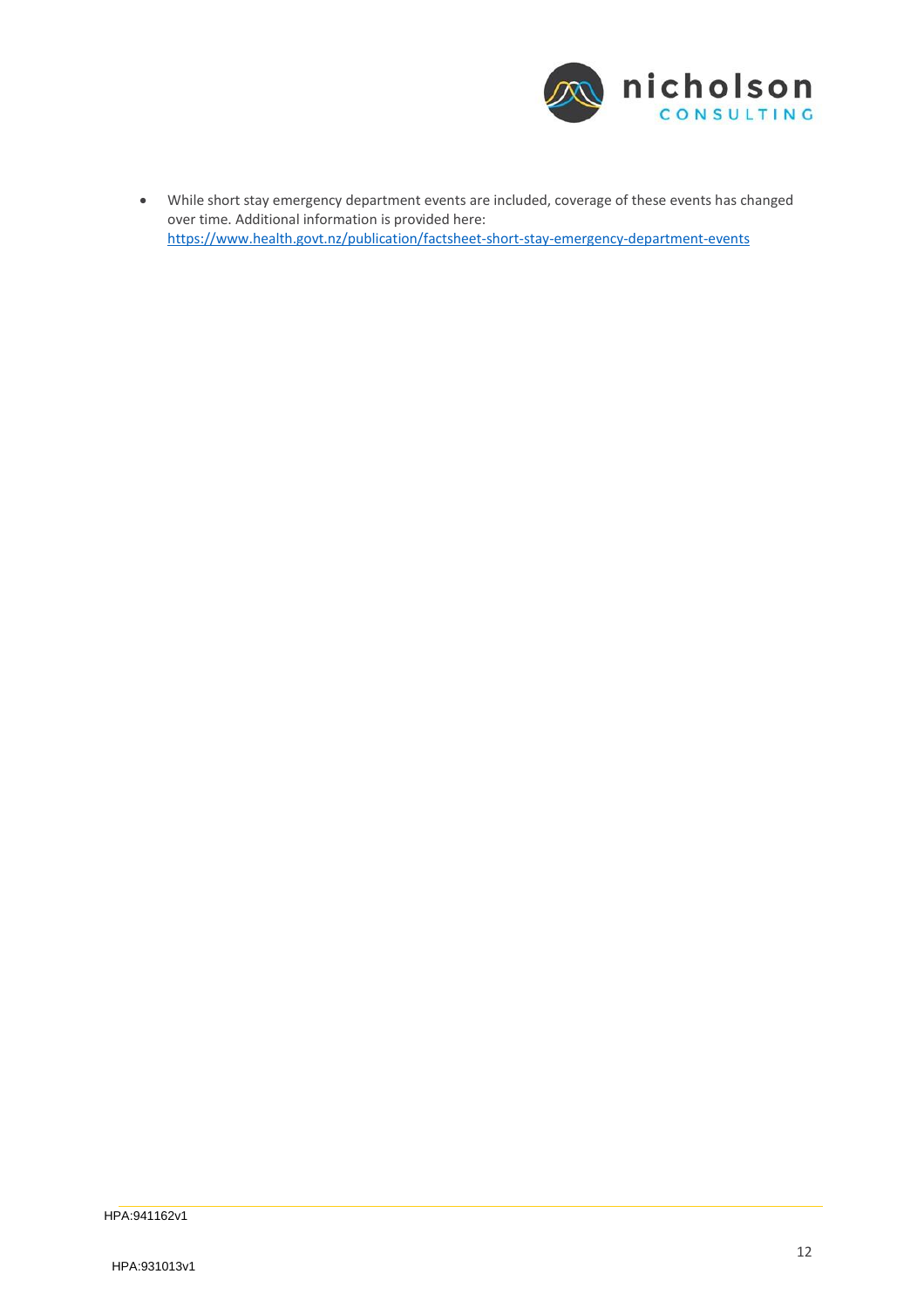

 While short stay emergency department events are included, coverage of these events has changed over time. Additional information is provided here: [https://www.health.govt.nz/publication/fac](http://www.health.govt.nz/publication/factsheet)tsheet-short-stay-emergency-department-events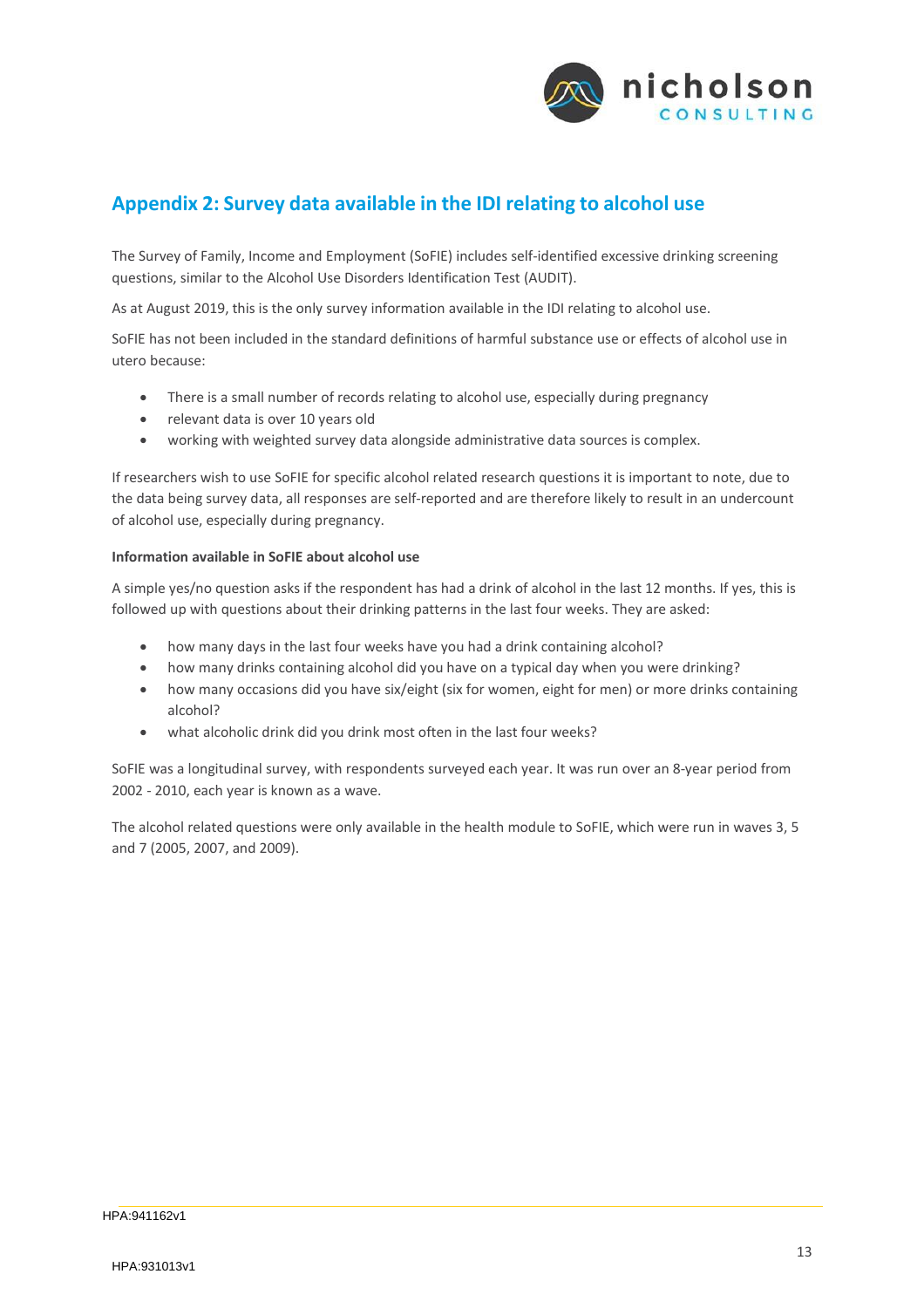

# <span id="page-14-0"></span>**Appendix 2: Survey data available in the IDI relating to alcohol use**

The Survey of Family, Income and Employment (SoFIE) includes self‐identified excessive drinking screening questions, similar to the Alcohol Use Disorders Identification Test (AUDIT).

As at August 2019, this is the only survey information available in the IDI relating to alcohol use.

SoFIE has not been included in the standard definitions of harmful substance use or effects of alcohol use in utero because:

- There is a small number of records relating to alcohol use, especially during pregnancy
- relevant data is over 10 years old
- working with weighted survey data alongside administrative data sources is complex.

If researchers wish to use SoFIE for specific alcohol related research questions it is important to note, due to the data being survey data, all responses are self-reported and are therefore likely to result in an undercount of alcohol use, especially during pregnancy.

#### **Information available in SoFIE about alcohol use**

A simple yes/no question asks if the respondent has had a drink of alcohol in the last 12 months. If yes, this is followed up with questions about their drinking patterns in the last four weeks. They are asked:

- how many days in the last four weeks have you had a drink containing alcohol?
- how many drinks containing alcohol did you have on a typical day when you were drinking?
- how many occasions did you have six/eight (six for women, eight for men) or more drinks containing alcohol?
- what alcoholic drink did you drink most often in the last four weeks?

SoFIE was a longitudinal survey, with respondents surveyed each year. It was run over an 8‐year period from 2002 ‐ 2010, each year is known as a wave.

The alcohol related questions were only available in the health module to SoFIE, which were run in waves 3, 5 and 7 (2005, 2007, and 2009).